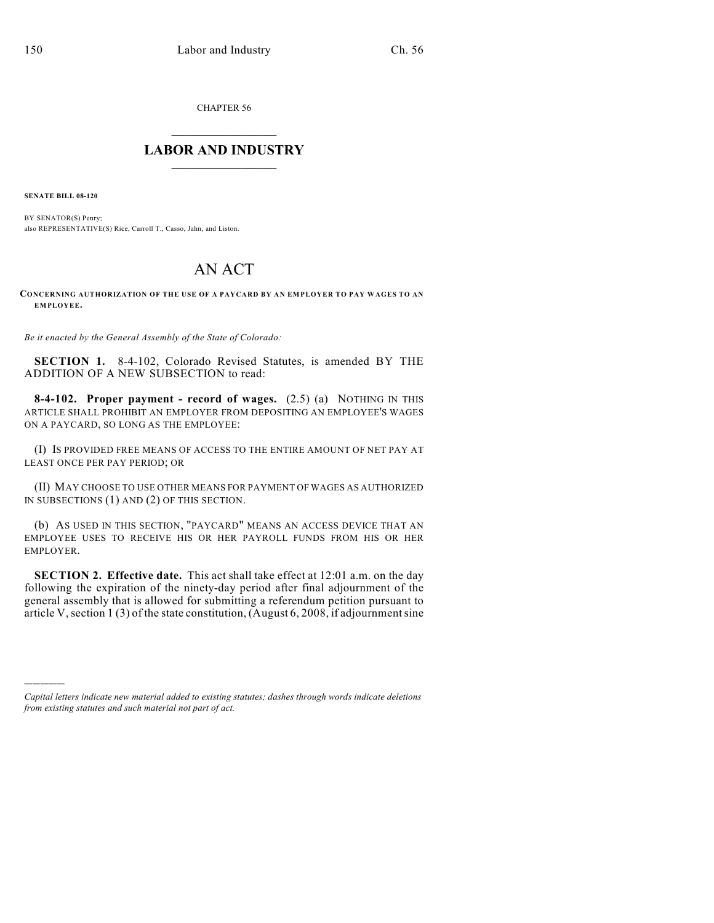CHAPTER 56

## $\mathcal{L}_\text{max}$  . The set of the set of the set of the set of the set of the set of the set of the set of the set of the set of the set of the set of the set of the set of the set of the set of the set of the set of the set **LABOR AND INDUSTRY**  $\frac{1}{\sqrt{2}}$  ,  $\frac{1}{\sqrt{2}}$  ,  $\frac{1}{\sqrt{2}}$  ,  $\frac{1}{\sqrt{2}}$  ,  $\frac{1}{\sqrt{2}}$  ,  $\frac{1}{\sqrt{2}}$

**SENATE BILL 08-120**

)))))

BY SENATOR(S) Penry; also REPRESENTATIVE(S) Rice, Carroll T., Casso, Jahn, and Liston.

## AN ACT

## **CONCERNING AUTHORIZATION OF THE USE OF A PAYCARD BY AN EMPLOYER TO PAY WAGES TO AN EMPLOYEE.**

*Be it enacted by the General Assembly of the State of Colorado:*

**SECTION 1.** 8-4-102, Colorado Revised Statutes, is amended BY THE ADDITION OF A NEW SUBSECTION to read:

**8-4-102. Proper payment - record of wages.** (2.5) (a) NOTHING IN THIS ARTICLE SHALL PROHIBIT AN EMPLOYER FROM DEPOSITING AN EMPLOYEE'S WAGES ON A PAYCARD, SO LONG AS THE EMPLOYEE:

(I) IS PROVIDED FREE MEANS OF ACCESS TO THE ENTIRE AMOUNT OF NET PAY AT LEAST ONCE PER PAY PERIOD; OR

(II) MAY CHOOSE TO USE OTHER MEANS FOR PAYMENT OF WAGES AS AUTHORIZED IN SUBSECTIONS (1) AND (2) OF THIS SECTION.

(b) AS USED IN THIS SECTION, "PAYCARD" MEANS AN ACCESS DEVICE THAT AN EMPLOYEE USES TO RECEIVE HIS OR HER PAYROLL FUNDS FROM HIS OR HER EMPLOYER.

**SECTION 2. Effective date.** This act shall take effect at 12:01 a.m. on the day following the expiration of the ninety-day period after final adjournment of the general assembly that is allowed for submitting a referendum petition pursuant to article V, section 1 (3) of the state constitution, (August 6, 2008, if adjournment sine

*Capital letters indicate new material added to existing statutes; dashes through words indicate deletions from existing statutes and such material not part of act.*